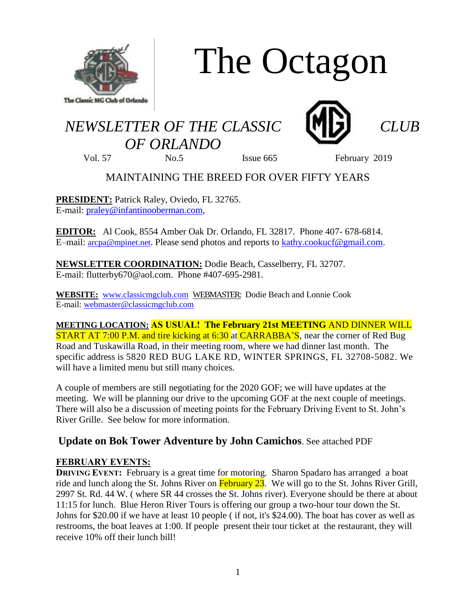

# The Octagon

# *NEWSLETTER OF THE CLASSIC CLUB OF ORLANDO*



Vol. 57 No.5 Issue 665 February 2019

# MAINTAINING THE BREED FOR OVER FIFTY YEARS

**PRESIDENT:** Patrick Raley, Oviedo, FL 32765. E-mail: [praley@infantinooberman.com,](mailto:praley@infantinooberman.com)

**EDITOR:** Al Cook, 8554 Amber Oak Dr. Orlando, FL 32817. Phone 407- 678-6814. E–mail: [arcpa@mpinet.net](mailto:arcpa@mpinet.net). Please send photos and reports to [kathy.cookucf@gmail.com.](mailto:kathy.cookucf@gmail.com)

**NEWSLETTER COORDINATION:** Dodie Beach, Casselberry, FL 32707. E-mail: flutterby670@aol.com. Phone #407-695-2981.

**WEBSITE:** [www.classicmgclub.com](http://www.classicmgclub.com/) WEBMASTER: Dodie Beach and Lonnie Cook E-mail[: webmaster@classicmgclub.com](mailto:webmaster@classicmgclub.com)

**MEETING LOCATION: AS USUAL! The February 21st MEETING** AND DINNER WILL **START AT 7:00 P.M. and tire kicking at 6:30 at CARRABBA'S, near the corner of Red Bug** Road and Tuskawilla Road, in their meeting room, where we had dinner last month. The specific address is 5820 RED BUG LAKE RD, WINTER SPRINGS, FL 32708-5082. We will have a limited menu but still many choices.

A couple of members are still negotiating for the 2020 GOF; we will have updates at the meeting. We will be planning our drive to the upcoming GOF at the next couple of meetings. There will also be a discussion of meeting points for the February Driving Event to St. John's River Grille. See below for more information.

## **Update on Bok Tower Adventure by John Camichos**. See attached PDF

### **FEBRUARY EVENTS:**

**DRIVING EVENT:** February is a great time for motoring. Sharon Spadaro has arranged a boat ride and lunch along the St. Johns River on February 23. We will go to the St. Johns River Grill, 2997 St. Rd. 44 W. ( where SR 44 crosses the St. Johns river). Everyone should be there at about 11:15 for lunch. Blue Heron River Tours is offering our group a two-hour tour down the St. Johns for \$20.00 if we have at least 10 people ( if not, it's \$24.00). The boat has cover as well as restrooms, the boat leaves at 1:00. If people present their tour ticket at the restaurant, they will receive 10% off their lunch bill!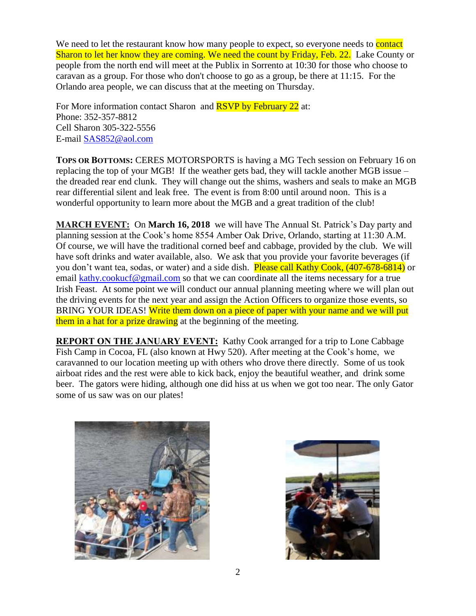We need to let the restaurant know how many people to expect, so everyone needs to **contact** Sharon to let her know they are coming. We need the count by Friday, Feb. 22. Lake County or people from the north end will meet at the Publix in Sorrento at 10:30 for those who choose to caravan as a group. For those who don't choose to go as a group, be there at 11:15. For the Orlando area people, we can discuss that at the meeting on Thursday.

For More information contact Sharon and **RSVP** by February 22 at: Phone: 352-357-8812 Cell Sharon 305-322-5556 E-mail [SAS852@aol.com](mailto:SAS852@aol.com)

**TOPS OR BOTTOMS:** CERES MOTORSPORTS is having a MG Tech session on February 16 on replacing the top of your MGB! If the weather gets bad, they will tackle another MGB issue – the dreaded rear end clunk. They will change out the shims, washers and seals to make an MGB rear differential silent and leak free. The event is from 8:00 until around noon. This is a wonderful opportunity to learn more about the MGB and a great tradition of the club!

**MARCH EVENT:** On **March 16, 2018** we will have The Annual St. Patrick's Day party and planning session at the Cook's home 8554 Amber Oak Drive, Orlando, starting at 11:30 A.M. Of course, we will have the traditional corned beef and cabbage, provided by the club. We will have soft drinks and water available, also. We ask that you provide your favorite beverages (if you don't want tea, sodas, or water) and a side dish. Please call Kathy Cook, (407-678-6814) or email [kathy.cookucf@gmail.com](mailto:kathy.cookucf@gmail.com) so that we can coordinate all the items necessary for a true Irish Feast. At some point we will conduct our annual planning meeting where we will plan out the driving events for the next year and assign the Action Officers to organize those events, so BRING YOUR IDEAS! Write them down on a piece of paper with your name and we will put them in a hat for a prize drawing at the beginning of the meeting.

**REPORT ON THE JANUARY EVENT:** Kathy Cook arranged for a trip to Lone Cabbage Fish Camp in Cocoa, FL (also known at Hwy 520). After meeting at the Cook's home, we caravanned to our location meeting up with others who drove there directly. Some of us took airboat rides and the rest were able to kick back, enjoy the beautiful weather, and drink some beer. The gators were hiding, although one did hiss at us when we got too near. The only Gator some of us saw was on our plates!



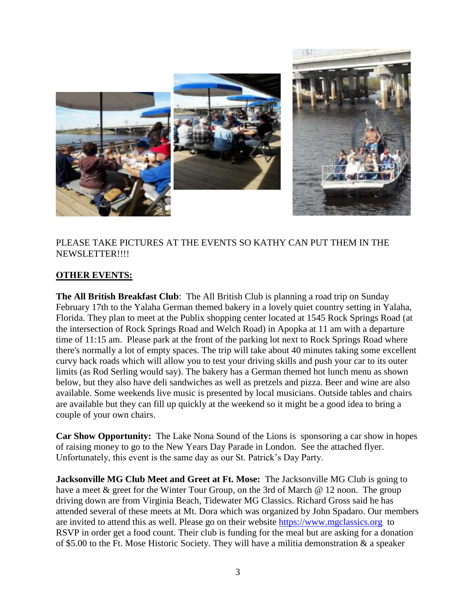

#### PLEASE TAKE PICTURES AT THE EVENTS SO KATHY CAN PUT THEM IN THE NEWSLETTER!!!!

#### **OTHER EVENTS:**

**The All British Breakfast Club**: The All British Club is planning a road trip on Sunday February 17th to the Yalaha German themed bakery in a lovely quiet country setting in Yalaha, Florida. They plan to meet at the Publix shopping center located at 1545 Rock Springs Road (at the intersection of Rock Springs Road and Welch Road) in Apopka at 11 am with a departure time of 11:15 am. Please park at the front of the parking lot next to Rock Springs Road where there's normally a lot of empty spaces. The trip will take about 40 minutes taking some excellent curvy back roads which will allow you to test your driving skills and push your car to its outer limits (as Rod Serling would say). The bakery has a German themed hot lunch menu as shown below, but they also have deli sandwiches as well as pretzels and pizza. Beer and wine are also available. Some weekends live music is presented by local musicians. Outside tables and chairs are available but they can fill up quickly at the weekend so it might be a good idea to bring a couple of your own chairs.

**Car Show Opportunity:** The Lake Nona Sound of the Lions is sponsoring a car show in hopes of raising money to go to the New Years Day Parade in London. See the attached flyer. Unfortunately, this event is the same day as our St. Patrick's Day Party.

**Jacksonville MG Club Meet and Greet at Ft. Mose:** The Jacksonville MG Club is going to have a meet & greet for the Winter Tour Group, on the 3rd of March @ 12 noon. The group driving down are from Virginia Beach, Tidewater MG Classics. Richard Gross said he has attended several of these meets at Mt. Dora which was organized by John Spadaro. Our members are invited to attend this as well. Please go on their website [https://www.mgclassics.org](https://www.mgclassics.org/) to RSVP in order get a food count. Their club is funding for the meal but are asking for a donation of \$5.00 to the Ft. Mose Historic Society. They will have a militia demonstration & a speaker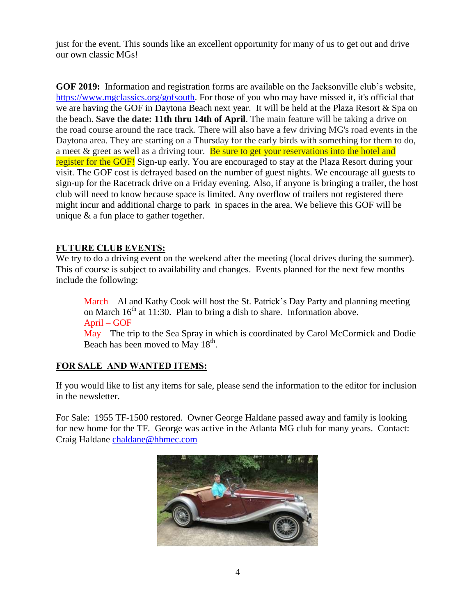just for the event. This sounds like an excellent opportunity for many of us to get out and drive our own classic MGs!

**GOF 2019:** Information and registration forms are available on the Jacksonville club's website, [https://www.mgclassics.org/gofsouth.](https://www.mgclassics.org/gofsouth) For those of you who may have missed it, it's official that we are having the GOF in Daytona Beach next year. It will be held at the Plaza Resort & Spa on the beach. **Save the date: 11th thru 14th of April**. The main feature will be taking a drive on the road course around the race track. There will also have a few driving MG's road events in the Daytona area. They are starting on a Thursday for the early birds with something for them to do, a meet  $\&$  greet as well as a driving tour. Be sure to get your reservations into the hotel and register for the GOF! Sign-up early. You are encouraged to stay at the Plaza Resort during your visit. The GOF cost is defrayed based on the number of guest nights. We encourage all guests to sign-up for the Racetrack drive on a Friday evening. Also, if anyone is bringing a trailer, the host club will need to know because space is limited. Any overflow of trailers not registered there might incur and additional charge to park in spaces in the area. We believe this GOF will be unique & a fun place to gather together.

#### **FUTURE CLUB EVENTS:**

We try to do a driving event on the weekend after the meeting (local drives during the summer). This of course is subject to availability and changes. Events planned for the next few months include the following:

March – Al and Kathy Cook will host the St. Patrick's Day Party and planning meeting on March  $16<sup>th</sup>$  at 11:30. Plan to bring a dish to share. Information above. April – GOF May – The trip to the Sea Spray in which is coordinated by Carol McCormick and Dodie Beach has been moved to May  $18<sup>th</sup>$ .

### **FOR SALE AND WANTED ITEMS:**

If you would like to list any items for sale, please send the information to the editor for inclusion in the newsletter.

For Sale: 1955 TF-1500 restored. Owner George Haldane passed away and family is looking for new home for the TF. George was active in the Atlanta MG club for many years. Contact: Craig Haldane [chaldane@hhmec.com](mailto:chaldane@hhmec.com)